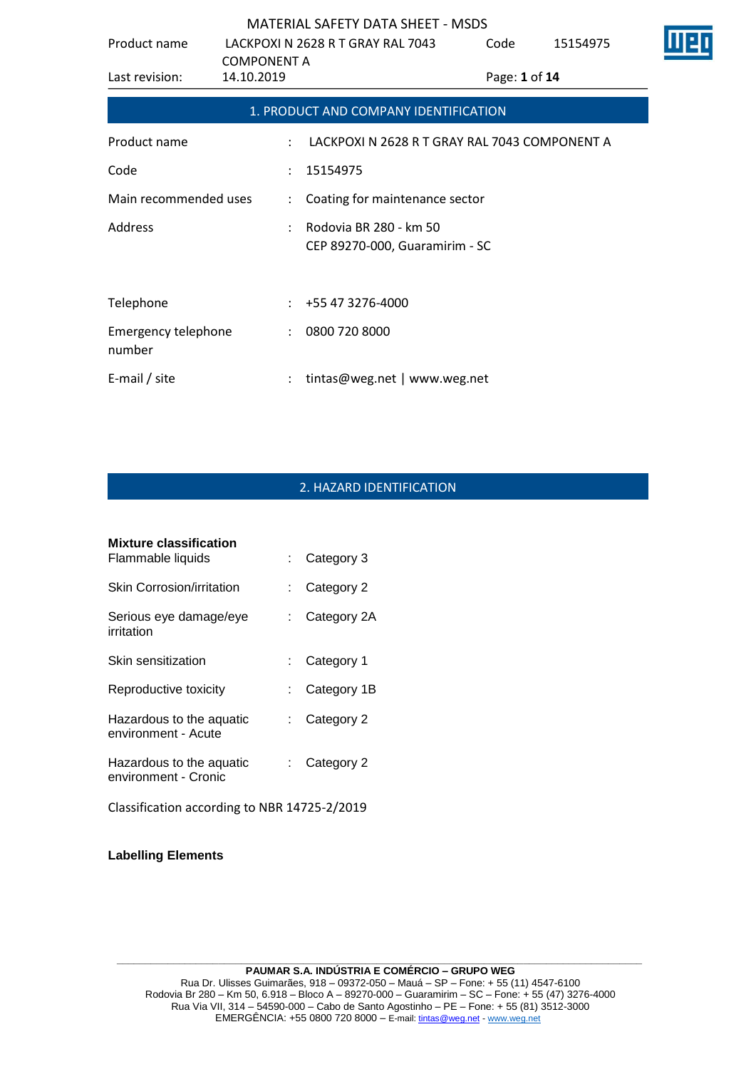| Product name                         |                                  | LACKPOXI N 2628 R T GRAY RAL 7043                        | Code          | 15154975 |  |
|--------------------------------------|----------------------------------|----------------------------------------------------------|---------------|----------|--|
| Last revision:                       | <b>COMPONENT A</b><br>14.10.2019 |                                                          | Page: 1 of 14 |          |  |
|                                      |                                  | 1. PRODUCT AND COMPANY IDENTIFICATION                    |               |          |  |
| Product name                         | $\ddot{\phantom{a}}$             | LACKPOXI N 2628 R T GRAY RAL 7043 COMPONENT A            |               |          |  |
| Code                                 | ÷                                | 15154975                                                 |               |          |  |
| Main recommended uses                | $\ddot{\phantom{0}}$             | Coating for maintenance sector                           |               |          |  |
| <b>Address</b>                       |                                  | Rodovia BR 280 - km 50<br>CEP 89270-000, Guaramirim - SC |               |          |  |
| Telephone                            |                                  | +55 47 3276-4000                                         |               |          |  |
| <b>Emergency telephone</b><br>number | $\ddot{\phantom{0}}$             | 0800 720 8000                                            |               |          |  |
| E-mail / site                        |                                  | tintas@weg.net   www.weg.net                             |               |          |  |

# 2. HAZARD IDENTIFICATION

| <b>Mixture classification</b>                    |    |             |
|--------------------------------------------------|----|-------------|
| Flammable liquids                                |    | Category 3  |
| Skin Corrosion/irritation                        |    | Category 2  |
| Serious eye damage/eye<br>irritation             |    | Category 2A |
| Skin sensitization                               |    | Category 1  |
| Reproductive toxicity                            |    | Category 1B |
| Hazardous to the aquatic<br>environment - Acute  | t. | Category 2  |
| Hazardous to the aquatic<br>environment - Cronic | t. | Category 2  |
| Classification according to NBR 14725-2/2019     |    |             |

**Labelling Elements**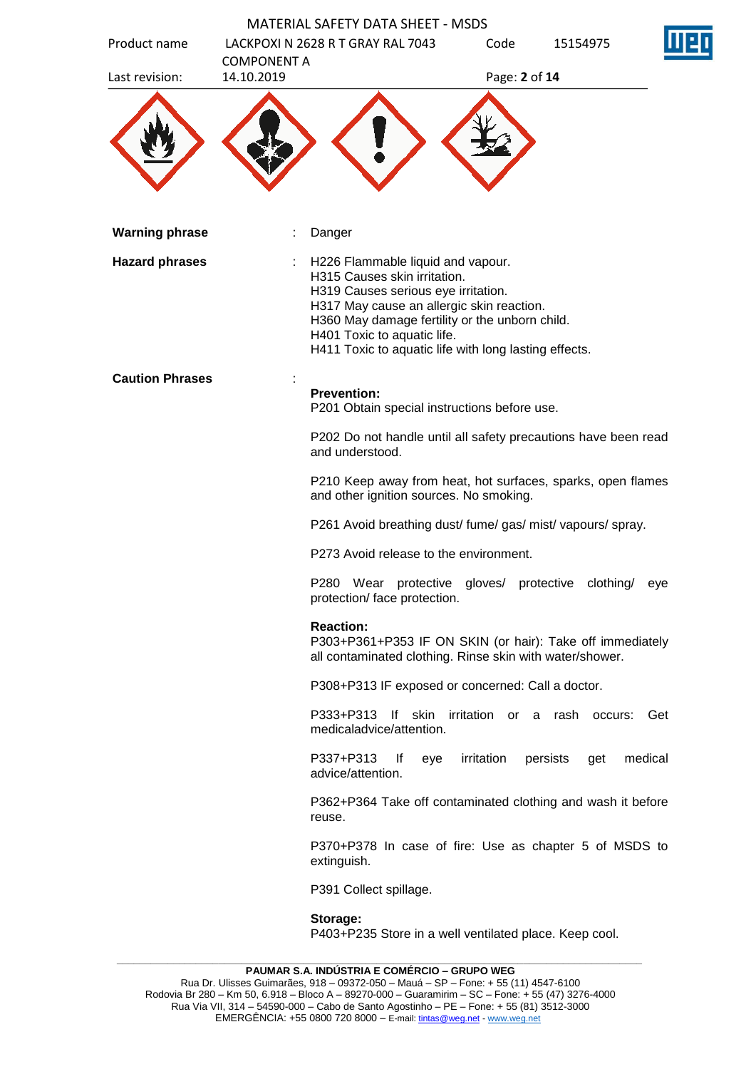| Product name           |                                  | <b>MATERIAL SAFETY DATA SHEET - MSDS</b><br>LACKPOXI N 2628 R T GRAY RAL 7043                                                                                                                                                                                                                   | Code                 | 15154975        |         |
|------------------------|----------------------------------|-------------------------------------------------------------------------------------------------------------------------------------------------------------------------------------------------------------------------------------------------------------------------------------------------|----------------------|-----------------|---------|
| Last revision:         | <b>COMPONENT A</b><br>14.10.2019 |                                                                                                                                                                                                                                                                                                 | Page: 2 of 14        |                 |         |
|                        |                                  |                                                                                                                                                                                                                                                                                                 |                      |                 |         |
| <b>Warning phrase</b>  |                                  | Danger                                                                                                                                                                                                                                                                                          |                      |                 |         |
| <b>Hazard phrases</b>  |                                  | H226 Flammable liquid and vapour.<br>H315 Causes skin irritation.<br>H319 Causes serious eye irritation.<br>H317 May cause an allergic skin reaction.<br>H360 May damage fertility or the unborn child.<br>H401 Toxic to aquatic life.<br>H411 Toxic to aquatic life with long lasting effects. |                      |                 |         |
| <b>Caution Phrases</b> |                                  | <b>Prevention:</b><br>P201 Obtain special instructions before use.                                                                                                                                                                                                                              |                      |                 |         |
|                        |                                  | P202 Do not handle until all safety precautions have been read<br>and understood.                                                                                                                                                                                                               |                      |                 |         |
|                        |                                  | P210 Keep away from heat, hot surfaces, sparks, open flames<br>and other ignition sources. No smoking.                                                                                                                                                                                          |                      |                 |         |
|                        |                                  | P261 Avoid breathing dust/ fume/ gas/ mist/ vapours/ spray.                                                                                                                                                                                                                                     |                      |                 |         |
|                        |                                  | P273 Avoid release to the environment.                                                                                                                                                                                                                                                          |                      |                 |         |
|                        |                                  | P280 Wear protective gloves/ protective clothing/<br>protection/ face protection.                                                                                                                                                                                                               |                      |                 | eye     |
|                        |                                  | <b>Reaction:</b><br>P303+P361+P353 IF ON SKIN (or hair): Take off immediately<br>all contaminated clothing. Rinse skin with water/shower.                                                                                                                                                       |                      |                 |         |
|                        |                                  | P308+P313 IF exposed or concerned: Call a doctor.                                                                                                                                                                                                                                               |                      |                 |         |
|                        |                                  | If skin<br>P333+P313<br>medicaladvice/attention.                                                                                                                                                                                                                                                | irritation or a rash | occurs:         | Get     |
|                        |                                  | P337+P313<br>lf<br>eye<br>advice/attention.                                                                                                                                                                                                                                                     | irritation           | persists<br>get | medical |
|                        |                                  | P362+P364 Take off contaminated clothing and wash it before<br>reuse.                                                                                                                                                                                                                           |                      |                 |         |
|                        |                                  | P370+P378 In case of fire: Use as chapter 5 of MSDS to<br>extinguish.                                                                                                                                                                                                                           |                      |                 |         |
|                        |                                  | P391 Collect spillage.                                                                                                                                                                                                                                                                          |                      |                 |         |
|                        |                                  | Storage:<br>P403+P235 Store in a well ventilated place. Keep cool.                                                                                                                                                                                                                              |                      |                 |         |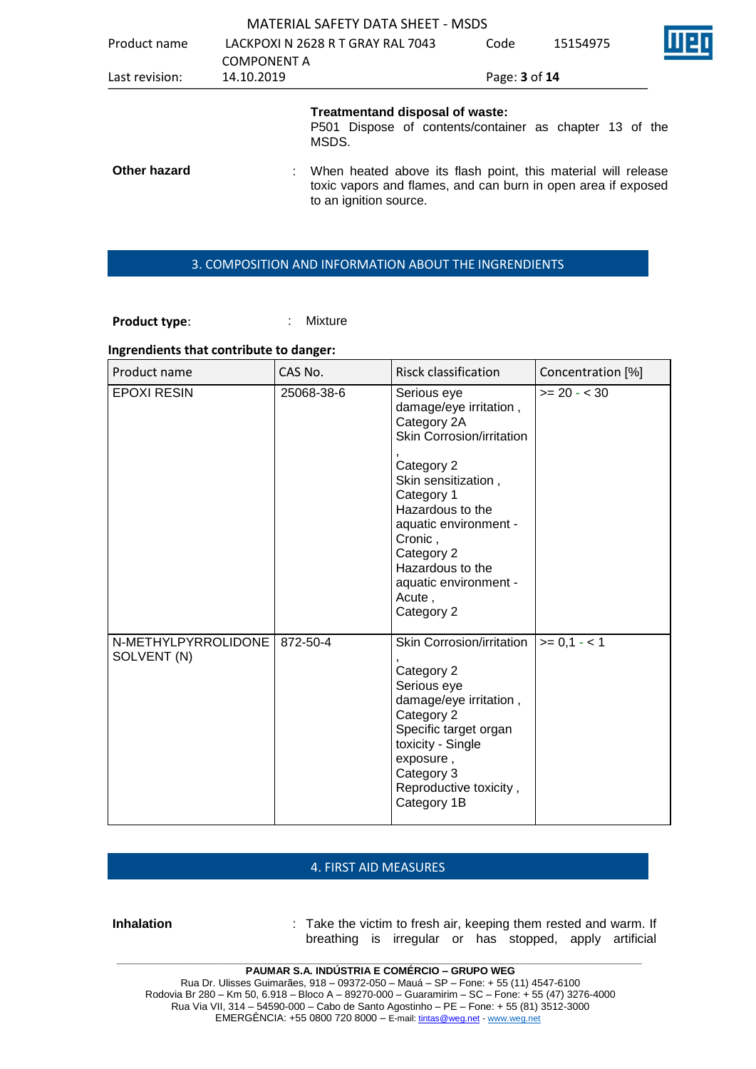|                |                                   | <b>MATERIAL SAFETY DATA SHEET - MSDS</b>                                                                                                                 |               |          |  |
|----------------|-----------------------------------|----------------------------------------------------------------------------------------------------------------------------------------------------------|---------------|----------|--|
| Product name   | LACKPOXI N 2628 R T GRAY RAL 7043 |                                                                                                                                                          | Code          | 15154975 |  |
|                | <b>COMPONENT A</b>                |                                                                                                                                                          |               |          |  |
| Last revision: | 14.10.2019                        |                                                                                                                                                          | Page: 3 of 14 |          |  |
|                | MSDS.                             | Treatmentand disposal of waste:<br>P501 Dispose of contents/container as chapter 13 of the                                                               |               |          |  |
| Other hazard   |                                   | When heated above its flash point, this material will release<br>toxic vapors and flames, and can burn in open area if exposed<br>to an ignition source. |               |          |  |

#### 3. COMPOSITION AND INFORMATION ABOUT THE INGRENDIENTS

Product type:  $\qquad \qquad$ : Mixture

# **Ingrendients that contribute to danger:**

| Product name                       | CAS No.    | <b>Risck classification</b>                                                                                                                                                                                                                                                     | Concentration [%]    |
|------------------------------------|------------|---------------------------------------------------------------------------------------------------------------------------------------------------------------------------------------------------------------------------------------------------------------------------------|----------------------|
| <b>EPOXI RESIN</b>                 | 25068-38-6 | Serious eye<br>damage/eye irritation,<br>Category 2A<br>Skin Corrosion/irritation<br>Category 2<br>Skin sensitization,<br>Category 1<br>Hazardous to the<br>aquatic environment -<br>Cronic,<br>Category 2<br>Hazardous to the<br>aquatic environment -<br>Acute,<br>Category 2 | $>= 20 - 30$         |
| N-METHYLPYRROLIDONE<br>SOLVENT (N) | 872-50-4   | Skin Corrosion/irritation<br>Category 2<br>Serious eye<br>damage/eye irritation,<br>Category 2<br>Specific target organ<br>toxicity - Single<br>exposure,<br>Category 3<br>Reproductive toxicity,<br>Category 1B                                                                | $\vert$ >= 0,1 - < 1 |

#### 4. FIRST AID MEASURES

**Inhalation** : Take the victim to fresh air, keeping them rested and warm. If breathing is irregular or has stopped, apply artificial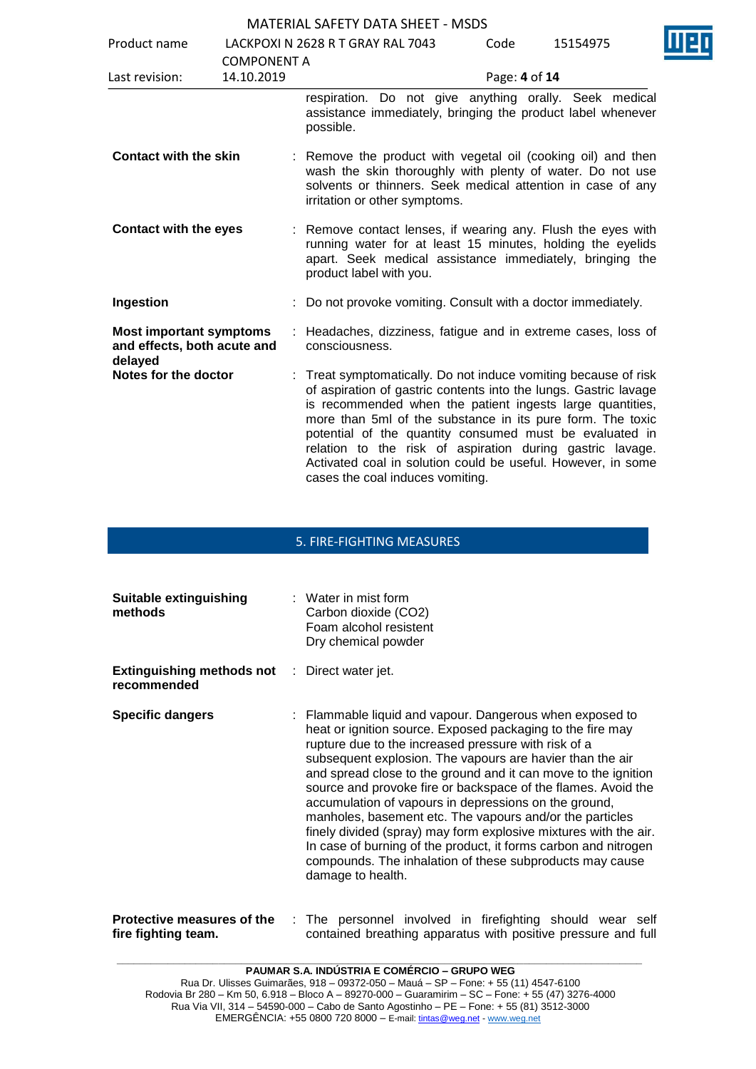| Product name                                                             |                                  | LACKPOXI N 2628 R T GRAY RAL 7043                                                                                                                                                                                                                                                                                                                                                                                                                                                        | Code          | 15154975 |  |
|--------------------------------------------------------------------------|----------------------------------|------------------------------------------------------------------------------------------------------------------------------------------------------------------------------------------------------------------------------------------------------------------------------------------------------------------------------------------------------------------------------------------------------------------------------------------------------------------------------------------|---------------|----------|--|
| Last revision:                                                           | <b>COMPONENT A</b><br>14.10.2019 |                                                                                                                                                                                                                                                                                                                                                                                                                                                                                          | Page: 4 of 14 |          |  |
|                                                                          |                                  | respiration. Do not give anything orally. Seek medical<br>assistance immediately, bringing the product label whenever<br>possible.                                                                                                                                                                                                                                                                                                                                                       |               |          |  |
| <b>Contact with the skin</b>                                             |                                  | : Remove the product with vegetal oil (cooking oil) and then<br>wash the skin thoroughly with plenty of water. Do not use<br>solvents or thinners. Seek medical attention in case of any<br>irritation or other symptoms.                                                                                                                                                                                                                                                                |               |          |  |
| <b>Contact with the eyes</b>                                             |                                  | : Remove contact lenses, if wearing any. Flush the eyes with<br>running water for at least 15 minutes, holding the eyelids<br>apart. Seek medical assistance immediately, bringing the<br>product label with you.                                                                                                                                                                                                                                                                        |               |          |  |
| Ingestion                                                                |                                  | Do not provoke vomiting. Consult with a doctor immediately.                                                                                                                                                                                                                                                                                                                                                                                                                              |               |          |  |
| <b>Most important symptoms</b><br>and effects, both acute and<br>delayed | ÷                                | Headaches, dizziness, fatigue and in extreme cases, loss of<br>consciousness.                                                                                                                                                                                                                                                                                                                                                                                                            |               |          |  |
| Notes for the doctor                                                     |                                  | Treat symptomatically. Do not induce vomiting because of risk<br>of aspiration of gastric contents into the lungs. Gastric lavage<br>is recommended when the patient ingests large quantities,<br>more than 5ml of the substance in its pure form. The toxic<br>potential of the quantity consumed must be evaluated in<br>relation to the risk of aspiration during gastric lavage.<br>Activated coal in solution could be useful. However, in some<br>cases the coal induces vomiting. |               |          |  |

## 5. FIRE-FIGHTING MEASURES

| Suitable extinguishing<br>methods                                   | $\therefore$ Water in mist form<br>Carbon dioxide (CO2)<br>Foam alcohol resistent<br>Dry chemical powder                                                                                                                                                                                                                                                                                                                                                                                                                                                                                                                                                                                                                    |
|---------------------------------------------------------------------|-----------------------------------------------------------------------------------------------------------------------------------------------------------------------------------------------------------------------------------------------------------------------------------------------------------------------------------------------------------------------------------------------------------------------------------------------------------------------------------------------------------------------------------------------------------------------------------------------------------------------------------------------------------------------------------------------------------------------------|
| <b>Extinguishing methods not</b> : Direct water jet.<br>recommended |                                                                                                                                                                                                                                                                                                                                                                                                                                                                                                                                                                                                                                                                                                                             |
| <b>Specific dangers</b>                                             | : Flammable liquid and vapour. Dangerous when exposed to<br>heat or ignition source. Exposed packaging to the fire may<br>rupture due to the increased pressure with risk of a<br>subsequent explosion. The vapours are havier than the air<br>and spread close to the ground and it can move to the ignition<br>source and provoke fire or backspace of the flames. Avoid the<br>accumulation of vapours in depressions on the ground,<br>manholes, basement etc. The vapours and/or the particles<br>finely divided (spray) may form explosive mixtures with the air.<br>In case of burning of the product, it forms carbon and nitrogen<br>compounds. The inhalation of these subproducts may cause<br>damage to health. |
| Protective measures of the                                          | : The personnel involved in firefighting should wear<br>self                                                                                                                                                                                                                                                                                                                                                                                                                                                                                                                                                                                                                                                                |

contained breathing apparatus with positive pressure and full

**fire fighting team.**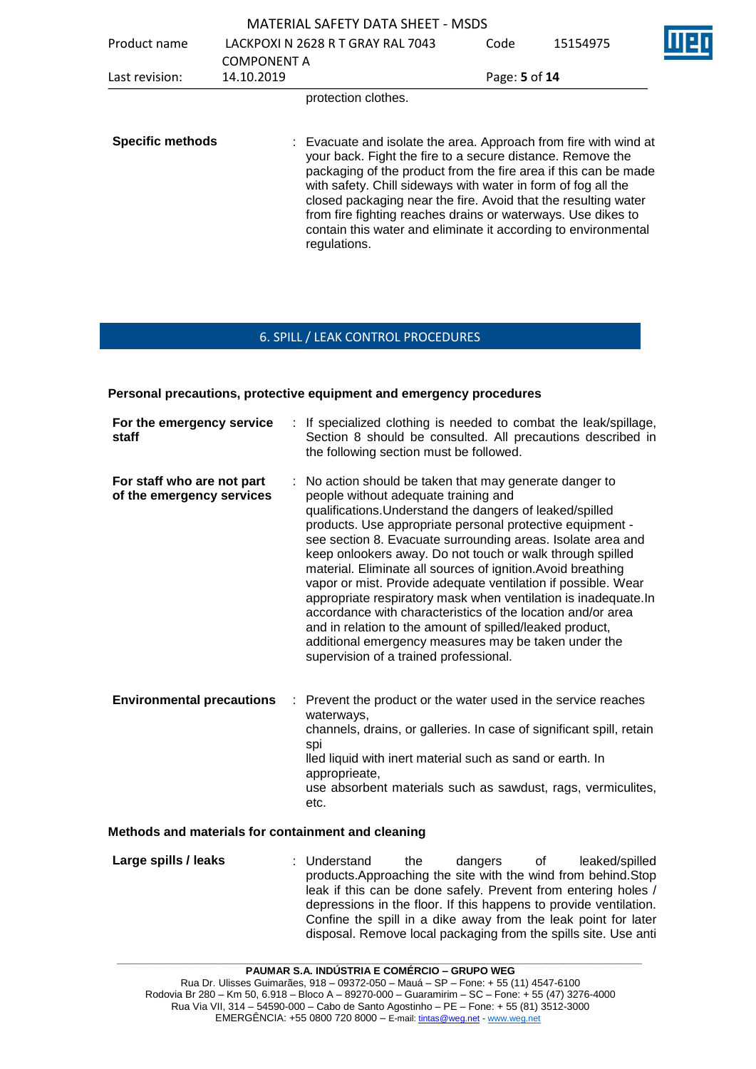|                         |                                  | <b>MATERIAL SAFETY DATA SHEET - MSDS</b>                                                                                                                                                                                                                                                                                                                                                                                                                                               |               |          |  |
|-------------------------|----------------------------------|----------------------------------------------------------------------------------------------------------------------------------------------------------------------------------------------------------------------------------------------------------------------------------------------------------------------------------------------------------------------------------------------------------------------------------------------------------------------------------------|---------------|----------|--|
| Product name            |                                  | LACKPOXI N 2628 R T GRAY RAL 7043                                                                                                                                                                                                                                                                                                                                                                                                                                                      | Code          | 15154975 |  |
| Last revision:          | <b>COMPONENT A</b><br>14.10.2019 |                                                                                                                                                                                                                                                                                                                                                                                                                                                                                        | Page: 5 of 14 |          |  |
|                         |                                  | protection clothes.                                                                                                                                                                                                                                                                                                                                                                                                                                                                    |               |          |  |
| <b>Specific methods</b> |                                  | : Evacuate and isolate the area. Approach from fire with wind at<br>your back. Fight the fire to a secure distance. Remove the<br>packaging of the product from the fire area if this can be made<br>with safety. Chill sideways with water in form of fog all the<br>closed packaging near the fire. Avoid that the resulting water<br>from fire fighting reaches drains or waterways. Use dikes to<br>contain this water and eliminate it according to environmental<br>regulations. |               |          |  |

## 6. SPILL / LEAK CONTROL PROCEDURES

#### **Personal precautions, protective equipment and emergency procedures**

| For the emergency service<br>staff                      | : If specialized clothing is needed to combat the leak/spillage,<br>Section 8 should be consulted. All precautions described in<br>the following section must be followed.                                                                                                                                                                                                                                                                                                                                                                                                                                                                                                                                                                                                                |
|---------------------------------------------------------|-------------------------------------------------------------------------------------------------------------------------------------------------------------------------------------------------------------------------------------------------------------------------------------------------------------------------------------------------------------------------------------------------------------------------------------------------------------------------------------------------------------------------------------------------------------------------------------------------------------------------------------------------------------------------------------------------------------------------------------------------------------------------------------------|
| For staff who are not part<br>of the emergency services | No action should be taken that may generate danger to<br>÷.<br>people without adequate training and<br>qualifications. Understand the dangers of leaked/spilled<br>products. Use appropriate personal protective equipment -<br>see section 8. Evacuate surrounding areas. Isolate area and<br>keep onlookers away. Do not touch or walk through spilled<br>material. Eliminate all sources of ignition. Avoid breathing<br>vapor or mist. Provide adequate ventilation if possible. Wear<br>appropriate respiratory mask when ventilation is inadequate. In<br>accordance with characteristics of the location and/or area<br>and in relation to the amount of spilled/leaked product,<br>additional emergency measures may be taken under the<br>supervision of a trained professional. |
| <b>Environmental precautions</b>                        | Prevent the product or the water used in the service reaches<br>waterways,<br>channels, drains, or galleries. In case of significant spill, retain<br>spi<br>lled liquid with inert material such as sand or earth. In<br>approprieate,                                                                                                                                                                                                                                                                                                                                                                                                                                                                                                                                                   |

use absorbent materials such as sawdust, rags, vermiculites, etc.

#### **Methods and materials for containment and cleaning**

**Large spills / leaks** : Understand the dangers of leaked/spilled products.Approaching the site with the wind from behind.Stop leak if this can be done safely. Prevent from entering holes / depressions in the floor. If this happens to provide ventilation. Confine the spill in a dike away from the leak point for later disposal. Remove local packaging from the spills site. Use anti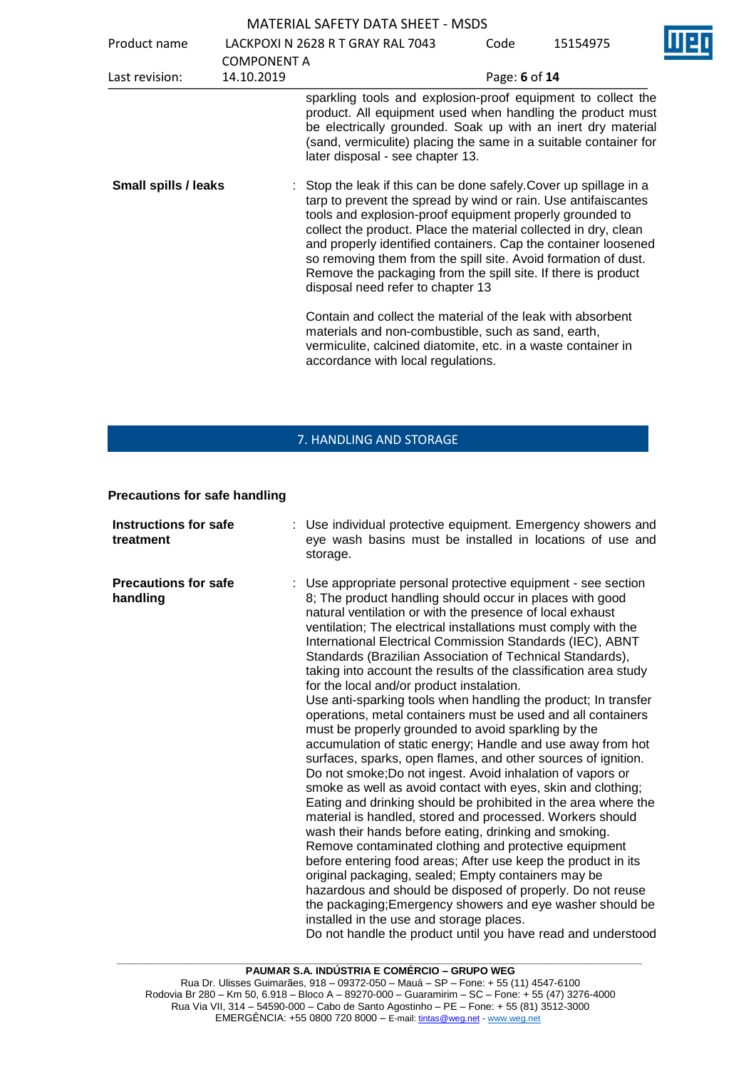| Product name                |                                  | LACKPOXI N 2628 R T GRAY RAL 7043                                                                                                                                                                                                                                                                                                                                                                                                                                                                             | Code          | 15154975 |
|-----------------------------|----------------------------------|---------------------------------------------------------------------------------------------------------------------------------------------------------------------------------------------------------------------------------------------------------------------------------------------------------------------------------------------------------------------------------------------------------------------------------------------------------------------------------------------------------------|---------------|----------|
| Last revision:              | <b>COMPONENT A</b><br>14.10.2019 |                                                                                                                                                                                                                                                                                                                                                                                                                                                                                                               | Page: 6 of 14 |          |
|                             |                                  | sparkling tools and explosion-proof equipment to collect the<br>product. All equipment used when handling the product must<br>be electrically grounded. Soak up with an inert dry material<br>(sand, vermiculite) placing the same in a suitable container for<br>later disposal - see chapter 13.                                                                                                                                                                                                            |               |          |
| <b>Small spills / leaks</b> |                                  | : Stop the leak if this can be done safely. Cover up spillage in a<br>tarp to prevent the spread by wind or rain. Use antifaiscantes<br>tools and explosion-proof equipment properly grounded to<br>collect the product. Place the material collected in dry, clean<br>and properly identified containers. Cap the container loosened<br>so removing them from the spill site. Avoid formation of dust.<br>Remove the packaging from the spill site. If there is product<br>disposal need refer to chapter 13 |               |          |
|                             |                                  | Contain and collect the material of the leak with absorbent<br>materials and non-combustible, such as sand, earth,<br>vermiculite, calcined diatomite, etc. in a waste container in<br>accordance with local regulations.                                                                                                                                                                                                                                                                                     |               |          |

# 7. HANDLING AND STORAGE

#### **Precautions for safe handling**

| <b>Instructions for safe</b><br>treatment | : Use individual protective equipment. Emergency showers and<br>eye wash basins must be installed in locations of use and<br>storage.                                                                                                                                                                                                                                                                                                                                                                                                                                                                                                                                                                                                                                                                                                                                                                                                                                                                                                                                                                                                                                                                                                                                                                                                                                                                                                                                                                                                                                      |
|-------------------------------------------|----------------------------------------------------------------------------------------------------------------------------------------------------------------------------------------------------------------------------------------------------------------------------------------------------------------------------------------------------------------------------------------------------------------------------------------------------------------------------------------------------------------------------------------------------------------------------------------------------------------------------------------------------------------------------------------------------------------------------------------------------------------------------------------------------------------------------------------------------------------------------------------------------------------------------------------------------------------------------------------------------------------------------------------------------------------------------------------------------------------------------------------------------------------------------------------------------------------------------------------------------------------------------------------------------------------------------------------------------------------------------------------------------------------------------------------------------------------------------------------------------------------------------------------------------------------------------|
| <b>Precautions for safe</b><br>handling   | : Use appropriate personal protective equipment - see section<br>8; The product handling should occur in places with good<br>natural ventilation or with the presence of local exhaust<br>ventilation; The electrical installations must comply with the<br>International Electrical Commission Standards (IEC), ABNT<br>Standards (Brazilian Association of Technical Standards),<br>taking into account the results of the classification area study<br>for the local and/or product instalation.<br>Use anti-sparking tools when handling the product; In transfer<br>operations, metal containers must be used and all containers<br>must be properly grounded to avoid sparkling by the<br>accumulation of static energy; Handle and use away from hot<br>surfaces, sparks, open flames, and other sources of ignition.<br>Do not smoke; Do not ingest. Avoid inhalation of vapors or<br>smoke as well as avoid contact with eyes, skin and clothing;<br>Eating and drinking should be prohibited in the area where the<br>material is handled, stored and processed. Workers should<br>wash their hands before eating, drinking and smoking.<br>Remove contaminated clothing and protective equipment<br>before entering food areas; After use keep the product in its<br>original packaging, sealed; Empty containers may be<br>hazardous and should be disposed of properly. Do not reuse<br>the packaging; Emergency showers and eye washer should be<br>installed in the use and storage places.<br>Do not handle the product until you have read and understood |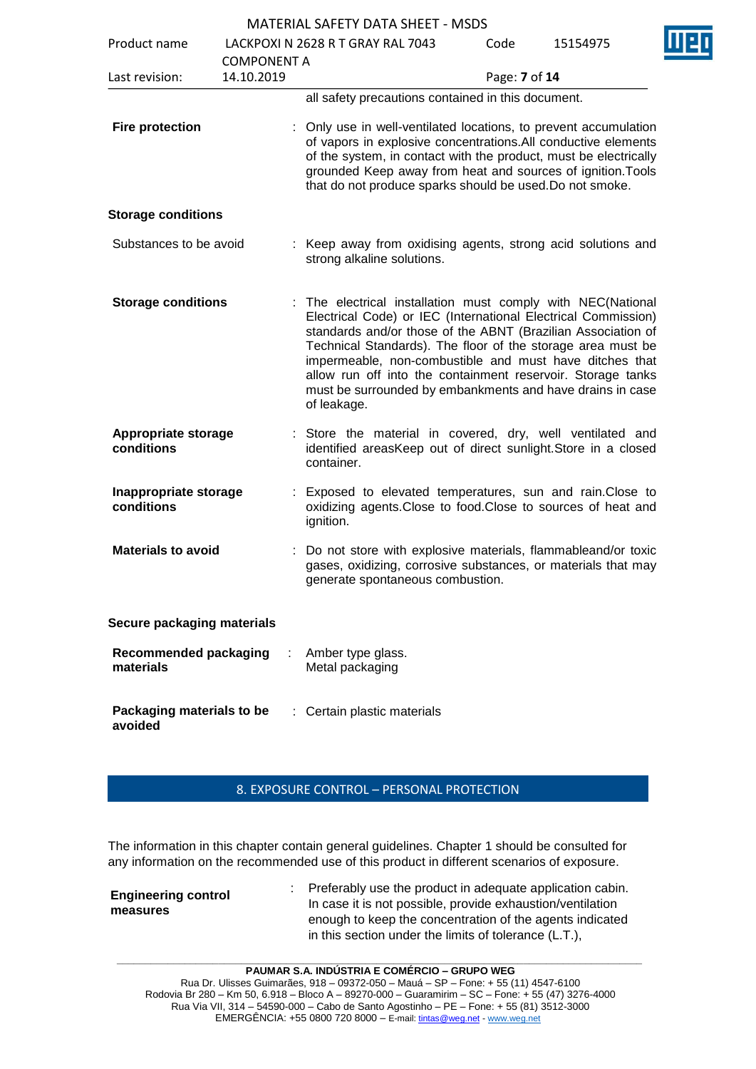| Product name                              | <b>COMPONENT A</b> | LACKPOXI N 2628 R T GRAY RAL 7043                                                                                                                                                                                                                                                                                                                                                                                                                                 | Code          | 15154975 |  |
|-------------------------------------------|--------------------|-------------------------------------------------------------------------------------------------------------------------------------------------------------------------------------------------------------------------------------------------------------------------------------------------------------------------------------------------------------------------------------------------------------------------------------------------------------------|---------------|----------|--|
| Last revision:                            | 14.10.2019         |                                                                                                                                                                                                                                                                                                                                                                                                                                                                   | Page: 7 of 14 |          |  |
|                                           |                    | all safety precautions contained in this document.                                                                                                                                                                                                                                                                                                                                                                                                                |               |          |  |
| <b>Fire protection</b>                    |                    | : Only use in well-ventilated locations, to prevent accumulation<br>of vapors in explosive concentrations. All conductive elements<br>of the system, in contact with the product, must be electrically<br>grounded Keep away from heat and sources of ignition. Tools<br>that do not produce sparks should be used. Do not smoke.                                                                                                                                 |               |          |  |
| <b>Storage conditions</b>                 |                    |                                                                                                                                                                                                                                                                                                                                                                                                                                                                   |               |          |  |
| Substances to be avoid                    |                    | : Keep away from oxidising agents, strong acid solutions and<br>strong alkaline solutions.                                                                                                                                                                                                                                                                                                                                                                        |               |          |  |
| <b>Storage conditions</b>                 |                    | : The electrical installation must comply with NEC(National<br>Electrical Code) or IEC (International Electrical Commission)<br>standards and/or those of the ABNT (Brazilian Association of<br>Technical Standards). The floor of the storage area must be<br>impermeable, non-combustible and must have ditches that<br>allow run off into the containment reservoir. Storage tanks<br>must be surrounded by embankments and have drains in case<br>of leakage. |               |          |  |
| <b>Appropriate storage</b><br>conditions  |                    | : Store the material in covered, dry, well ventilated and<br>identified areasKeep out of direct sunlight. Store in a closed<br>container.                                                                                                                                                                                                                                                                                                                         |               |          |  |
| Inappropriate storage<br>conditions       |                    | Exposed to elevated temperatures, sun and rain. Close to<br>oxidizing agents. Close to food. Close to sources of heat and<br>ignition.                                                                                                                                                                                                                                                                                                                            |               |          |  |
| <b>Materials to avoid</b>                 |                    | : Do not store with explosive materials, flammableand/or toxic<br>gases, oxidizing, corrosive substances, or materials that may<br>generate spontaneous combustion.                                                                                                                                                                                                                                                                                               |               |          |  |
| Secure packaging materials                |                    |                                                                                                                                                                                                                                                                                                                                                                                                                                                                   |               |          |  |
| <b>Recommended packaging</b><br>materials |                    | Amber type glass.<br>Metal packaging                                                                                                                                                                                                                                                                                                                                                                                                                              |               |          |  |
| Packaging materials to be<br>avoided      |                    | : Certain plastic materials                                                                                                                                                                                                                                                                                                                                                                                                                                       |               |          |  |

## 8. EXPOSURE CONTROL – PERSONAL PROTECTION

The information in this chapter contain general guidelines. Chapter 1 should be consulted for any information on the recommended use of this product in different scenarios of exposure.

|                                        | Preferably use the product in adequate application cabin.  |
|----------------------------------------|------------------------------------------------------------|
| <b>Engineering control</b><br>measures | In case it is not possible, provide exhaustion/ventilation |
|                                        | enough to keep the concentration of the agents indicated   |
|                                        | in this section under the limits of tolerance (L.T.),      |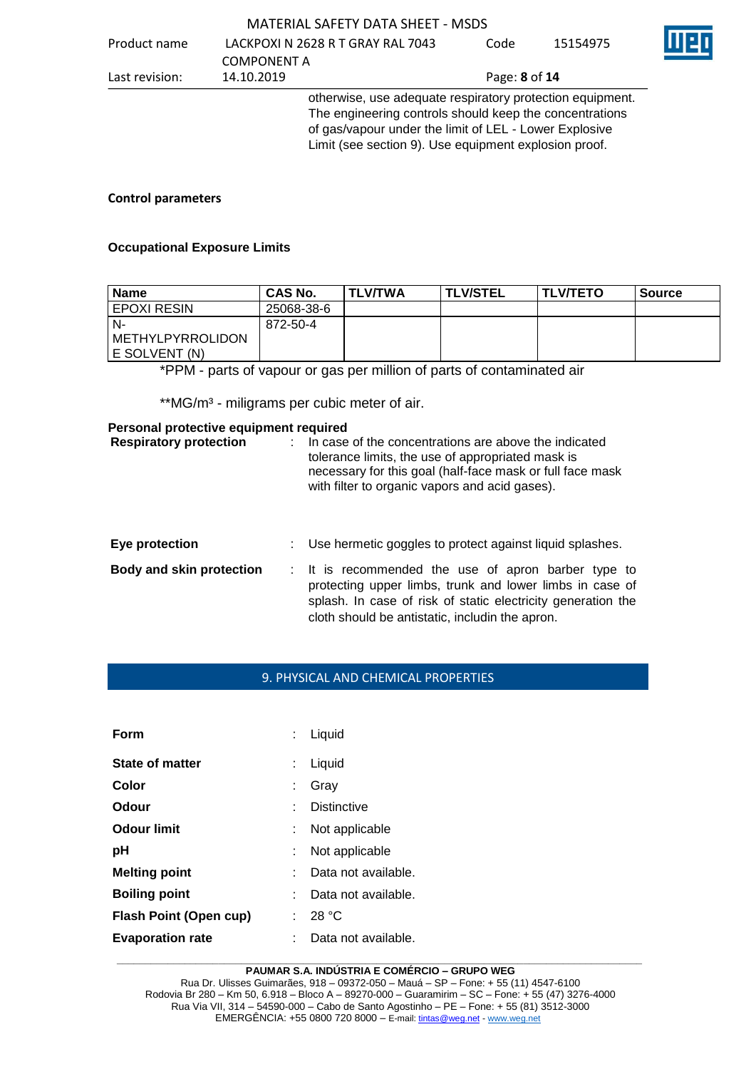#### Product name LACKPOXI N 2628 R T GRAY RAL 7043 COMPONENT A<br>14.10.2019 Code 15154975 Last revision: 14.10.2019 Page: **8** of **14** otherwise, use adequate respiratory protection equipment. The engineering controls should keep the concentrations of gas/vapour under the limit of LEL - Lower Explosive

#### **Control parameters**

#### **Occupational Exposure Limits**

| <b>Name</b>        | <b>CAS No.</b> | <b>TLV/TWA</b> | <b>TLV/STEL</b> | <b>I TLV/TETO</b> | Source |
|--------------------|----------------|----------------|-----------------|-------------------|--------|
| EPOXI RESIN        | 25068-38-6     |                |                 |                   |        |
| N-                 | 872-50-4       |                |                 |                   |        |
| I METHYLPYRROLIDON |                |                |                 |                   |        |
| I E SOLVENT (N)    |                |                |                 |                   |        |

Limit (see section 9). Use equipment explosion proof.

\*PPM - parts of vapour or gas per million of parts of contaminated air

\*\*MG/m<sup>3</sup> - miligrams per cubic meter of air.

#### **Personal protective equipment required**

| <b>Respiratory protection</b>   | In case of the concentrations are above the indicated<br>tolerance limits, the use of appropriated mask is<br>necessary for this goal (half-face mask or full face mask<br>with filter to organic vapors and acid gases).          |
|---------------------------------|------------------------------------------------------------------------------------------------------------------------------------------------------------------------------------------------------------------------------------|
| Eye protection                  | Use hermetic goggles to protect against liquid splashes.                                                                                                                                                                           |
| <b>Body and skin protection</b> | : It is recommended the use of apron barber type to<br>protecting upper limbs, trunk and lower limbs in case of<br>splash. In case of risk of static electricity generation the<br>cloth should be antistatic, includin the apron. |

#### 9. PHYSICAL AND CHEMICAL PROPERTIES

| Form                          |    | Liquid              |
|-------------------------------|----|---------------------|
| State of matter               |    | Liquid              |
| Color                         |    | Gray                |
| Odour                         |    | <b>Distinctive</b>  |
| Odour limit                   |    | Not applicable      |
| рH                            | ÷. | Not applicable      |
| <b>Melting point</b>          |    | Data not available. |
| <b>Boiling point</b>          |    | Data not available. |
| <b>Flash Point (Open cup)</b> |    | 28 °C               |
| <b>Evaporation rate</b>       |    | Data not available. |

#### **\_\_\_\_\_\_\_\_\_\_\_\_\_\_\_\_\_\_\_\_\_\_\_\_\_\_\_\_\_\_\_\_\_\_\_\_\_\_\_\_\_\_\_\_\_\_\_\_\_\_\_\_\_\_\_\_\_\_\_\_\_\_\_\_\_\_\_\_\_\_\_\_\_\_\_\_\_\_\_\_\_\_\_\_\_\_\_\_\_\_\_\_\_ PAUMAR S.A. INDÚSTRIA E COMÉRCIO – GRUPO WEG**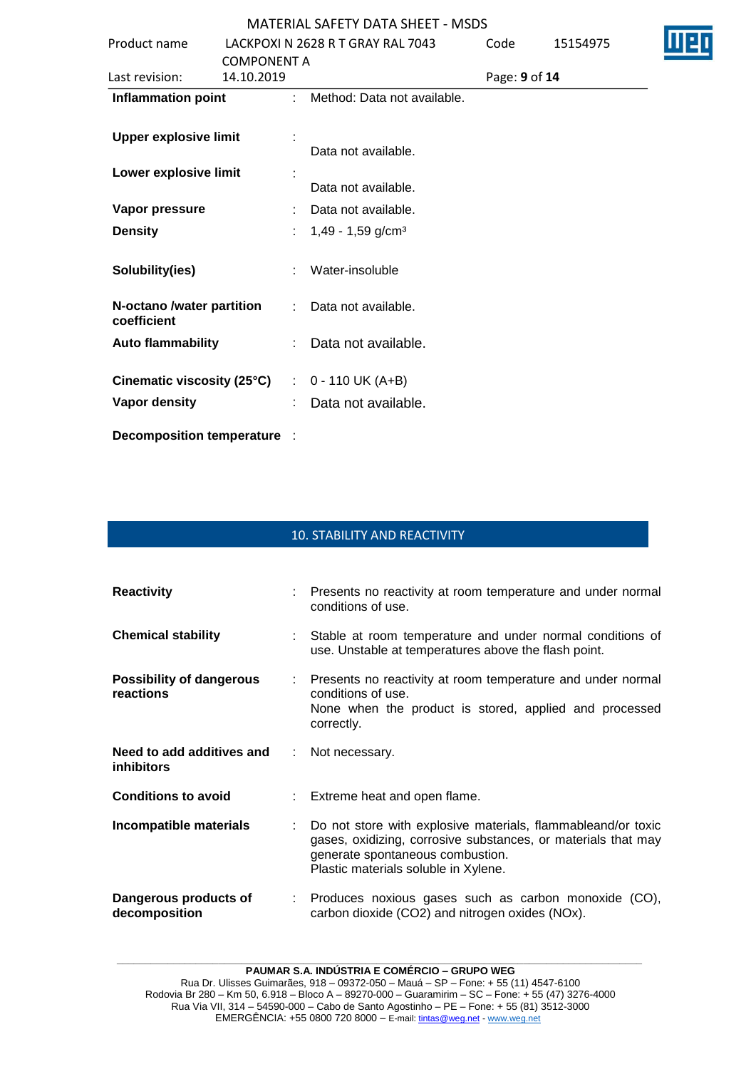|                                          |                                   | 1                             |               |          |  |
|------------------------------------------|-----------------------------------|-------------------------------|---------------|----------|--|
| Product name                             | LACKPOXI N 2628 R T GRAY RAL 7043 |                               | Code          | 15154975 |  |
|                                          | <b>COMPONENT A</b>                |                               |               |          |  |
| Last revision:                           | 14.10.2019                        |                               | Page: 9 of 14 |          |  |
| <b>Inflammation point</b>                |                                   | : Method: Data not available. |               |          |  |
|                                          |                                   |                               |               |          |  |
| <b>Upper explosive limit</b>             |                                   |                               |               |          |  |
|                                          |                                   | Data not available.           |               |          |  |
| Lower explosive limit                    |                                   |                               |               |          |  |
|                                          |                                   | Data not available.           |               |          |  |
| Vapor pressure                           |                                   | Data not available.           |               |          |  |
| <b>Density</b>                           | ÷.                                | 1,49 - 1,59 g/cm <sup>3</sup> |               |          |  |
| Solubility(ies)                          |                                   | Water-insoluble               |               |          |  |
| N-octano /water partition<br>coefficient | t.                                | Data not available.           |               |          |  |
| <b>Auto flammability</b>                 |                                   | Data not available.           |               |          |  |
| Cinematic viscosity (25°C)               |                                   | $\therefore$ 0 - 110 UK (A+B) |               |          |  |
| Vapor density                            |                                   | Data not available.           |               |          |  |
|                                          |                                   |                               |               |          |  |

**Decomposition temperature** :

## 10. STABILITY AND REACTIVITY

| <b>Reactivity</b>                              |               | Presents no reactivity at room temperature and under normal<br>conditions of use.                                                                                                                         |
|------------------------------------------------|---------------|-----------------------------------------------------------------------------------------------------------------------------------------------------------------------------------------------------------|
| <b>Chemical stability</b>                      |               | : Stable at room temperature and under normal conditions of<br>use. Unstable at temperatures above the flash point.                                                                                       |
| <b>Possibility of dangerous</b><br>reactions   |               | Presents no reactivity at room temperature and under normal<br>conditions of use.<br>None when the product is stored, applied and processed<br>correctly.                                                 |
| Need to add additives and<br><i>inhibitors</i> | $\mathcal{L}$ | Not necessary.                                                                                                                                                                                            |
| <b>Conditions to avoid</b>                     |               | Extreme heat and open flame.                                                                                                                                                                              |
| Incompatible materials                         |               | Do not store with explosive materials, flammableand/or toxic<br>gases, oxidizing, corrosive substances, or materials that may<br>generate spontaneous combustion.<br>Plastic materials soluble in Xylene. |
| Dangerous products of<br>decomposition         |               | : Produces noxious gases such as carbon monoxide (CO),<br>carbon dioxide (CO2) and nitrogen oxides (NOx).                                                                                                 |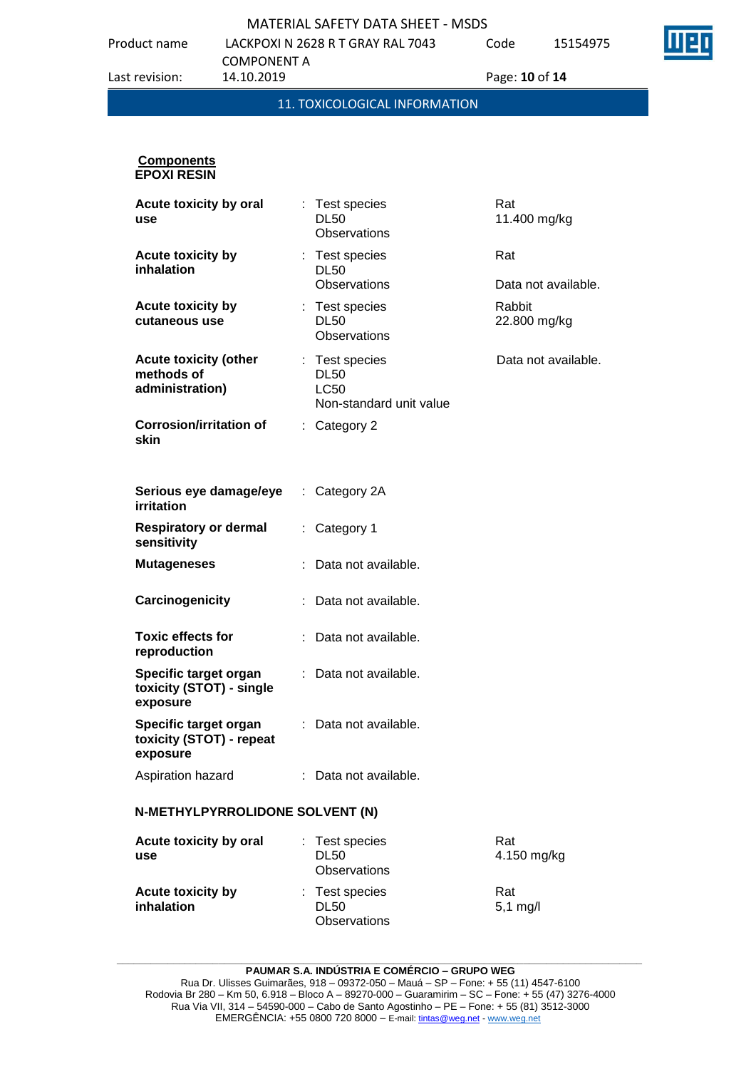Product name LACKPOXI N 2628 R T GRAY RAL 7043

Code 15154975



COMPONENT A<br>14.10.2019 Last revision: 14.10.2019 Page: **10** of **14** 11. TOXICOLOGICAL INFORMATION

#### **Components EPOXI RESIN**

| Acute toxicity by oral<br>use                                 | Test species<br><b>DL50</b><br><b>Observations</b>                      | Rat<br>11.400 mg/kg        |
|---------------------------------------------------------------|-------------------------------------------------------------------------|----------------------------|
| Acute toxicity by<br>inhalation                               | : Test species<br><b>DL50</b><br><b>Observations</b>                    | Rat<br>Data not available. |
| <b>Acute toxicity by</b><br>cutaneous use                     | : Test species<br><b>DL50</b><br><b>Observations</b>                    | Rabbit<br>22.800 mg/kg     |
| <b>Acute toxicity (other</b><br>methods of<br>administration) | : Test species<br><b>DL50</b><br><b>LC50</b><br>Non-standard unit value | Data not available.        |
| <b>Corrosion/irritation of</b><br>skin                        | : Category 2                                                            |                            |
| Serious eye damage/eye<br>irritation                          | : Category 2A                                                           |                            |
| <b>Respiratory or dermal</b><br>sensitivity                   | Category 1                                                              |                            |
| <b>Mutageneses</b>                                            | : Data not available.                                                   |                            |
| Carcinogenicity                                               | Data not available.                                                     |                            |
| <b>Toxic effects for</b><br>reproduction                      | Data not available.                                                     |                            |
| Specific target organ<br>toxicity (STOT) - single<br>exposure | : Data not available.                                                   |                            |
| Specific target organ<br>toxicity (STOT) - repeat<br>exposure | : Data not available.                                                   |                            |
| Aspiration hazard                                             | : Data not available.                                                   |                            |
| N-METHYLPYRROLIDONE SOLVENT (N)                               |                                                                         |                            |
| Acute toxicity by oral<br>use                                 | Test species<br><b>DL50</b><br><b>Observations</b>                      | Rat<br>4.150 mg/kg         |
| Acute toxicity by<br>inhalation                               | Test species<br><b>DL50</b>                                             | Rat<br>$5,1$ mg/l          |

**\_\_\_\_\_\_\_\_\_\_\_\_\_\_\_\_\_\_\_\_\_\_\_\_\_\_\_\_\_\_\_\_\_\_\_\_\_\_\_\_\_\_\_\_\_\_\_\_\_\_\_\_\_\_\_\_\_\_\_\_\_\_\_\_\_\_\_\_\_\_\_\_\_\_\_\_\_\_\_\_\_\_\_\_\_\_\_\_\_\_\_\_\_ PAUMAR S.A. INDÚSTRIA E COMÉRCIO – GRUPO WEG**

**Observations**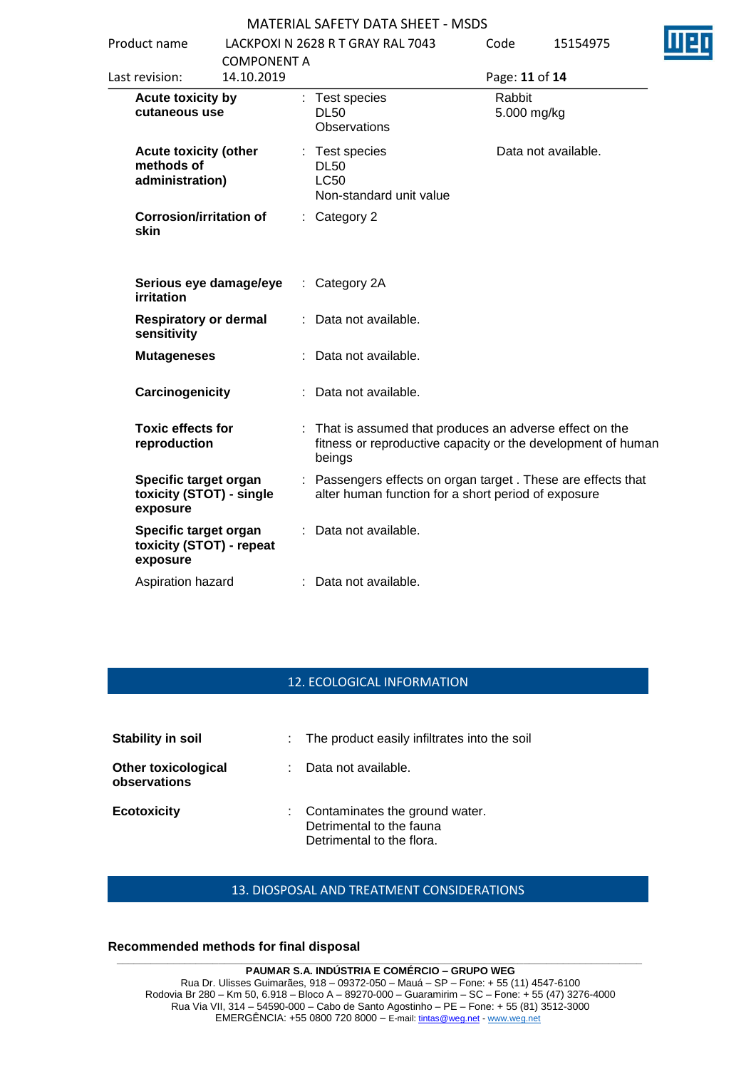| Product name                                                  |                                  | LACKPOXI N 2628 R T GRAY RAL 7043                    |                                                     | Code                  | 15154975                                                                                                                 |
|---------------------------------------------------------------|----------------------------------|------------------------------------------------------|-----------------------------------------------------|-----------------------|--------------------------------------------------------------------------------------------------------------------------|
| Last revision:                                                | <b>COMPONENT A</b><br>14.10.2019 |                                                      |                                                     | Page: 11 of 14        |                                                                                                                          |
| Acute toxicity by<br>cutaneous use                            |                                  | : Test species<br><b>DL50</b><br><b>Observations</b> |                                                     | Rabbit<br>5.000 mg/kg |                                                                                                                          |
| <b>Acute toxicity (other</b><br>methods of<br>administration) |                                  | : Test species<br><b>DL50</b><br><b>LC50</b>         | Non-standard unit value                             |                       | Data not available.                                                                                                      |
| <b>Corrosion/irritation of</b><br>skin                        |                                  | Category 2                                           |                                                     |                       |                                                                                                                          |
| <b>irritation</b>                                             | Serious eye damage/eye           | Category 2A<br>÷.                                    |                                                     |                       |                                                                                                                          |
| <b>Respiratory or dermal</b><br>sensitivity                   |                                  | Data not available.                                  |                                                     |                       |                                                                                                                          |
| <b>Mutageneses</b>                                            |                                  | Data not available.                                  |                                                     |                       |                                                                                                                          |
| Carcinogenicity                                               |                                  | Data not available.                                  |                                                     |                       |                                                                                                                          |
| <b>Toxic effects for</b><br>reproduction                      |                                  | beings                                               |                                                     |                       | : That is assumed that produces an adverse effect on the<br>fitness or reproductive capacity or the development of human |
| Specific target organ<br>toxicity (STOT) - single<br>exposure |                                  |                                                      | alter human function for a short period of exposure |                       | : Passengers effects on organ target . These are effects that                                                            |
| Specific target organ<br>toxicity (STOT) - repeat<br>exposure |                                  | Data not available.                                  |                                                     |                       |                                                                                                                          |
| Aspiration hazard                                             |                                  | : Data not available.                                |                                                     |                       |                                                                                                                          |

#### 12. ECOLOGICAL INFORMATION

| Stability in soil                          | : The product easily infiltrates into the soil                                            |
|--------------------------------------------|-------------------------------------------------------------------------------------------|
| <b>Other toxicological</b><br>observations | Data not available.                                                                       |
| <b>Ecotoxicity</b>                         | : Contaminates the ground water.<br>Detrimental to the fauna<br>Detrimental to the flora. |

## 13. DIOSPOSAL AND TREATMENT CONSIDERATIONS

#### **Recommended methods for final disposal**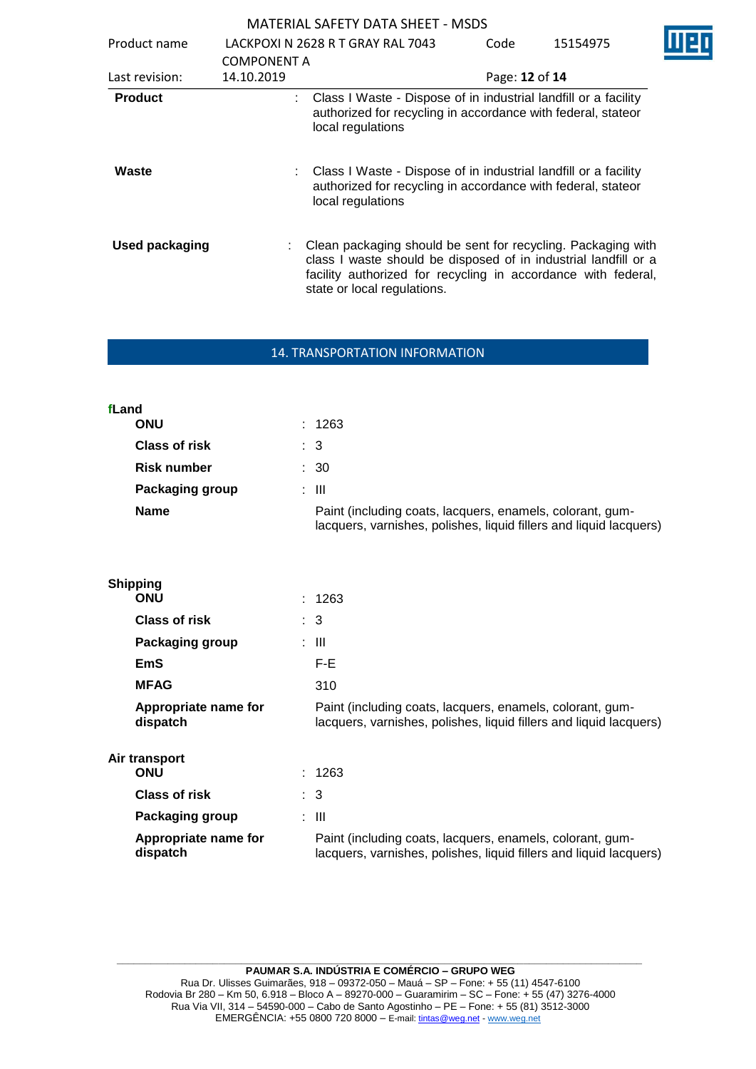| Product name          |                                  | LACKPOXI N 2628 R T GRAY RAL 7043                                                                                                                                                                                               | Code           | 15154975 |  |
|-----------------------|----------------------------------|---------------------------------------------------------------------------------------------------------------------------------------------------------------------------------------------------------------------------------|----------------|----------|--|
| Last revision:        | <b>COMPONENT A</b><br>14.10.2019 |                                                                                                                                                                                                                                 | Page: 12 of 14 |          |  |
| <b>Product</b>        |                                  | : Class I Waste - Dispose of in industrial landfill or a facility<br>authorized for recycling in accordance with federal, stateor<br>local regulations                                                                          |                |          |  |
| Waste                 |                                  | Class I Waste - Dispose of in industrial landfill or a facility<br>authorized for recycling in accordance with federal, stateor<br>local regulations                                                                            |                |          |  |
| <b>Used packaging</b> |                                  | Clean packaging should be sent for recycling. Packaging with<br>class I waste should be disposed of in industrial landfill or a<br>facility authorized for recycling in accordance with federal,<br>state or local regulations. |                |          |  |

#### 14. TRANSPORTATION INFORMATION

| fLand                |                                                                                                                                 |
|----------------------|---------------------------------------------------------------------------------------------------------------------------------|
| <b>ONU</b>           | : 1263                                                                                                                          |
| <b>Class of risk</b> | $\therefore$ 3                                                                                                                  |
| <b>Risk number</b>   | : 30                                                                                                                            |
| Packaging group      | : III                                                                                                                           |
| <b>Name</b>          | Paint (including coats, lacquers, enamels, colorant, gum-<br>lacquers, varnishes, polishes, liquid fillers and liquid lacquers) |

| <b>Shipping</b>                  |                                                                                                                                 |
|----------------------------------|---------------------------------------------------------------------------------------------------------------------------------|
| <b>ONU</b>                       | : 1263                                                                                                                          |
| Class of risk                    | $\therefore$ 3                                                                                                                  |
| <b>Packaging group</b>           | : III                                                                                                                           |
| EmS                              | F-E                                                                                                                             |
| <b>MFAG</b>                      | 310                                                                                                                             |
| Appropriate name for<br>dispatch | Paint (including coats, lacquers, enamels, colorant, gum-<br>lacquers, varnishes, polishes, liquid fillers and liquid lacquers) |
| Air transport                    |                                                                                                                                 |
| <b>ONU</b>                       | : 1263                                                                                                                          |
| <b>Class of risk</b>             | $\therefore$ 3                                                                                                                  |
| Packaging group                  | : III                                                                                                                           |
| Appropriate name for<br>dispatch | Paint (including coats, lacquers, enamels, colorant, gum-<br>lacquers, varnishes, polishes, liquid fillers and liquid lacquers) |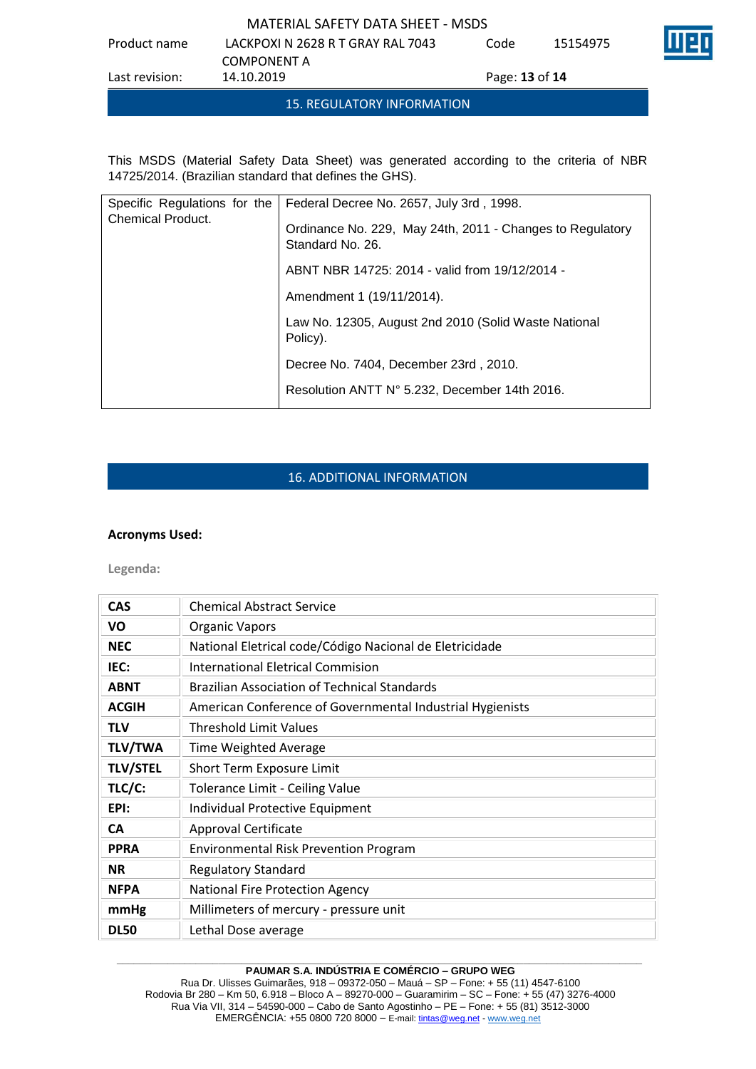Product name LACKPOXI N 2628 R T GRAY RAL 7043 Code 15154975

COMPONENT A<br>14.10.2019 Last revision: 14.10.2019 Page: **13** of **14**

This MSDS (Material Safety Data Sheet) was generated according to the criteria of NBR 14725/2014. (Brazilian standard that defines the GHS).

15. REGULATORY INFORMATION

| Specific Regulations for the<br><b>Chemical Product.</b> | Federal Decree No. 2657, July 3rd, 1998.                                      |
|----------------------------------------------------------|-------------------------------------------------------------------------------|
|                                                          | Ordinance No. 229, May 24th, 2011 - Changes to Regulatory<br>Standard No. 26. |
|                                                          | ABNT NBR 14725: 2014 - valid from 19/12/2014 -                                |
|                                                          | Amendment 1 (19/11/2014).                                                     |
|                                                          | Law No. 12305, August 2nd 2010 (Solid Waste National<br>Policy).              |
|                                                          | Decree No. 7404, December 23rd, 2010.                                         |
|                                                          | Resolution ANTT N° 5.232, December 14th 2016.                                 |

# 16. ADDITIONAL INFORMATION

### **Acronyms Used:**

**Legenda:**

| <b>CAS</b>      | <b>Chemical Abstract Service</b>                          |  |
|-----------------|-----------------------------------------------------------|--|
| VO              | <b>Organic Vapors</b>                                     |  |
| <b>NEC</b>      | National Eletrical code/Código Nacional de Eletricidade   |  |
| IEC:            | International Eletrical Commision                         |  |
| <b>ABNT</b>     | <b>Brazilian Association of Technical Standards</b>       |  |
| <b>ACGIH</b>    | American Conference of Governmental Industrial Hygienists |  |
| <b>TLV</b>      | <b>Threshold Limit Values</b>                             |  |
| <b>TLV/TWA</b>  | Time Weighted Average                                     |  |
| <b>TLV/STEL</b> | Short Term Exposure Limit                                 |  |
| TLC/C:          | Tolerance Limit - Ceiling Value                           |  |
| EPI:            | Individual Protective Equipment                           |  |
| <b>CA</b>       | <b>Approval Certificate</b>                               |  |
| <b>PPRA</b>     | <b>Environmental Risk Prevention Program</b>              |  |
| <b>NR</b>       | <b>Regulatory Standard</b>                                |  |
| <b>NFPA</b>     | National Fire Protection Agency                           |  |
| mmHg            | Millimeters of mercury - pressure unit                    |  |
| <b>DL50</b>     | Lethal Dose average                                       |  |

#### **\_\_\_\_\_\_\_\_\_\_\_\_\_\_\_\_\_\_\_\_\_\_\_\_\_\_\_\_\_\_\_\_\_\_\_\_\_\_\_\_\_\_\_\_\_\_\_\_\_\_\_\_\_\_\_\_\_\_\_\_\_\_\_\_\_\_\_\_\_\_\_\_\_\_\_\_\_\_\_\_\_\_\_\_\_\_\_\_\_\_\_\_\_ PAUMAR S.A. INDÚSTRIA E COMÉRCIO – GRUPO WEG**